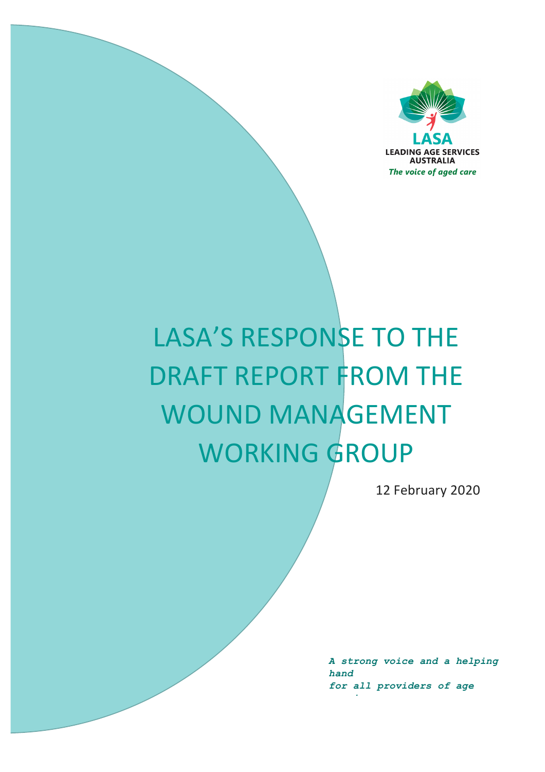

# LASA'S RESPONSE TO THE DRAFT REPORT FROM THE WOUND MANAGEMENT WORKING GROUP

12 February 2020

*A strong voice and a helping hand for all providers of age* 

*services*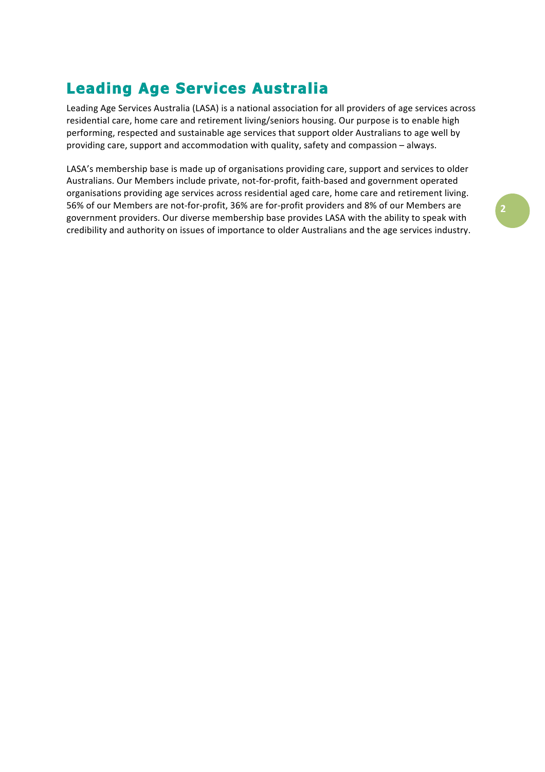# **Leading Age Services Australia**

Leading Age Services Australia (LASA) is a national association for all providers of age services across residential care, home care and retirement living/seniors housing. Our purpose is to enable high performing, respected and sustainable age services that support older Australians to age well by providing care, support and accommodation with quality, safety and compassion - always.

LASA's membership base is made up of organisations providing care, support and services to older Australians. Our Members include private, not-for-profit, faith-based and government operated organisations providing age services across residential aged care, home care and retirement living. 56% of our Members are not-for-profit, 36% are for-profit providers and 8% of our Members are government providers. Our diverse membership base provides LASA with the ability to speak with credibility and authority on issues of importance to older Australians and the age services industry.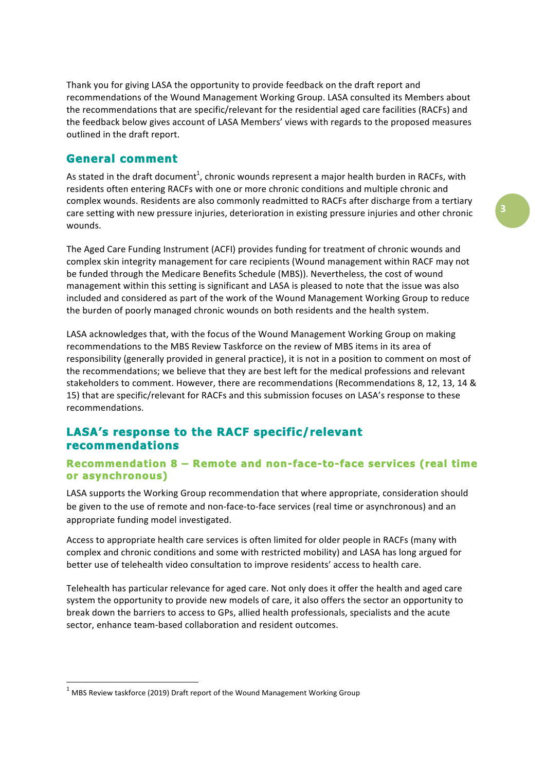Thank you for giving LASA the opportunity to provide feedback on the draft report and recommendations of the Wound Management Working Group. LASA consulted its Members about the recommendations that are specific/relevant for the residential aged care facilities (RACFs) and the feedback below gives account of LASA Members' views with regards to the proposed measures outlined in the draft report.

## **General comment**

As stated in the draft document<sup>1</sup>, chronic wounds represent a major health burden in RACFs, with residents often entering RACFs with one or more chronic conditions and multiple chronic and complex wounds. Residents are also commonly readmitted to RACFs after discharge from a tertiary care setting with new pressure injuries, deterioration in existing pressure injuries and other chronic wounds.

The Aged Care Funding Instrument (ACFI) provides funding for treatment of chronic wounds and complex skin integrity management for care recipients (Wound management within RACF may not be funded through the Medicare Benefits Schedule (MBS)). Nevertheless, the cost of wound management within this setting is significant and LASA is pleased to note that the issue was also included and considered as part of the work of the Wound Management Working Group to reduce the burden of poorly managed chronic wounds on both residents and the health system.

LASA acknowledges that, with the focus of the Wound Management Working Group on making recommendations to the MBS Review Taskforce on the review of MBS items in its area of responsibility (generally provided in general practice), it is not in a position to comment on most of the recommendations; we believe that they are best left for the medical professions and relevant stakeholders to comment. However, there are recommendations (Recommendations 8, 12, 13, 14 & 15) that are specific/relevant for RACFs and this submission focuses on LASA's response to these recommendations.

# **LASA's response to the RACF specific/relevant recommendations**

#### **Recommendation 8 – Remote and non-face-to-face services (real time or asynchronous)**

LASA supports the Working Group recommendation that where appropriate, consideration should be given to the use of remote and non-face-to-face services (real time or asynchronous) and an appropriate funding model investigated.

Access to appropriate health care services is often limited for older people in RACFs (many with complex and chronic conditions and some with restricted mobility) and LASA has long argued for better use of telehealth video consultation to improve residents' access to health care.

Telehealth has particular relevance for aged care. Not only does it offer the health and aged care system the opportunity to provide new models of care, it also offers the sector an opportunity to break down the barriers to access to GPs, allied health professionals, specialists and the acute sector, enhance team-based collaboration and resident outcomes.

 

 $1$  MBS Review taskforce (2019) Draft report of the Wound Management Working Group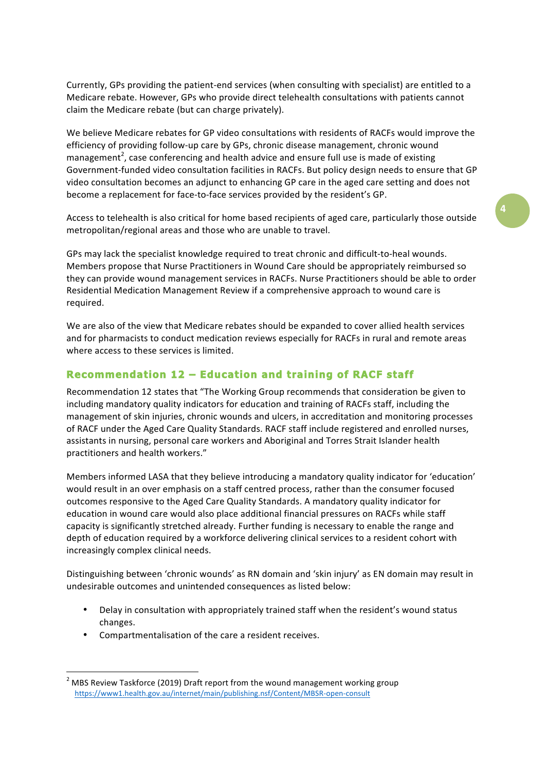Currently, GPs providing the patient-end services (when consulting with specialist) are entitled to a Medicare rebate. However, GPs who provide direct telehealth consultations with patients cannot claim the Medicare rebate (but can charge privately).

We believe Medicare rebates for GP video consultations with residents of RACFs would improve the efficiency of providing follow-up care by GPs, chronic disease management, chronic wound management<sup>2</sup>, case conferencing and health advice and ensure full use is made of existing Government-funded video consultation facilities in RACFs. But policy design needs to ensure that GP video consultation becomes an adjunct to enhancing GP care in the aged care setting and does not become a replacement for face-to-face services provided by the resident's GP.

Access to telehealth is also critical for home based recipients of aged care, particularly those outside metropolitan/regional areas and those who are unable to travel.

GPs may lack the specialist knowledge required to treat chronic and difficult-to-heal wounds. Members propose that Nurse Practitioners in Wound Care should be appropriately reimbursed so they can provide wound management services in RACFs. Nurse Practitioners should be able to order Residential Medication Management Review if a comprehensive approach to wound care is required.

We are also of the view that Medicare rebates should be expanded to cover allied health services and for pharmacists to conduct medication reviews especially for RACFs in rural and remote areas where access to these services is limited.

#### **Recommendation 12 – Education and training of RACF staff**

Recommendation 12 states that "The Working Group recommends that consideration be given to including mandatory quality indicators for education and training of RACFs staff, including the management of skin injuries, chronic wounds and ulcers, in accreditation and monitoring processes of RACF under the Aged Care Quality Standards. RACF staff include registered and enrolled nurses, assistants in nursing, personal care workers and Aboriginal and Torres Strait Islander health practitioners and health workers."

Members informed LASA that they believe introducing a mandatory quality indicator for 'education' would result in an over emphasis on a staff centred process, rather than the consumer focused outcomes responsive to the Aged Care Quality Standards. A mandatory quality indicator for education in wound care would also place additional financial pressures on RACFs while staff capacity is significantly stretched already. Further funding is necessary to enable the range and depth of education required by a workforce delivering clinical services to a resident cohort with increasingly complex clinical needs.

Distinguishing between 'chronic wounds' as RN domain and 'skin injury' as EN domain may result in undesirable outcomes and unintended consequences as listed below:

- Delay in consultation with appropriately trained staff when the resident's wound status changes.
- Compartmentalisation of the care a resident receives.

<u> 1989 - Jan Samuel Barbara, margaret e</u>

**4**

<sup>&</sup>lt;sup>2</sup> MBS Review Taskforce (2019) Draft report from the wound management working group https://www1.health.gov.au/internet/main/publishing.nsf/Content/MBSR-open-consult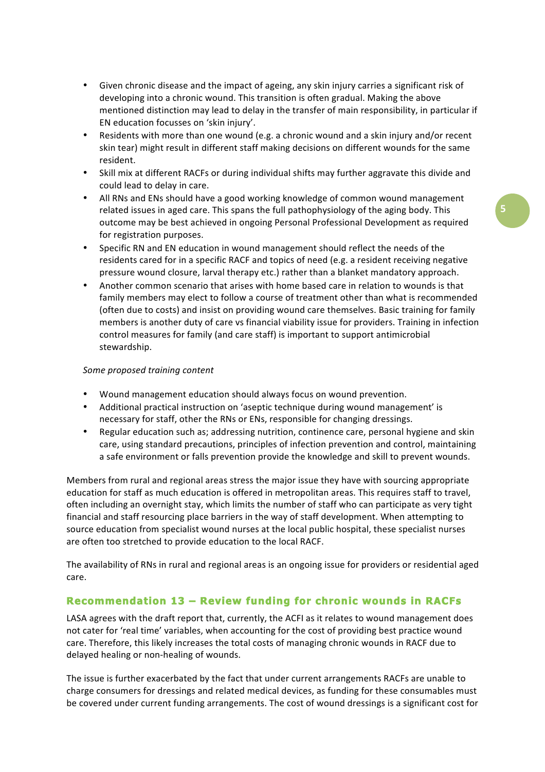- Given chronic disease and the impact of ageing, any skin injury carries a significant risk of developing into a chronic wound. This transition is often gradual. Making the above mentioned distinction may lead to delay in the transfer of main responsibility, in particular if EN education focusses on 'skin injury'.
- Residents with more than one wound (e.g. a chronic wound and a skin injury and/or recent skin tear) might result in different staff making decisions on different wounds for the same resident.
- Skill mix at different RACFs or during individual shifts may further aggravate this divide and could lead to delay in care.
- All RNs and ENs should have a good working knowledge of common wound management related issues in aged care. This spans the full pathophysiology of the aging body. This outcome may be best achieved in ongoing Personal Professional Development as required for registration purposes.
- Specific RN and EN education in wound management should reflect the needs of the residents cared for in a specific RACF and topics of need (e.g. a resident receiving negative pressure wound closure, larval therapy etc.) rather than a blanket mandatory approach.
- Another common scenario that arises with home based care in relation to wounds is that family members may elect to follow a course of treatment other than what is recommended (often due to costs) and insist on providing wound care themselves. Basic training for family members is another duty of care vs financial viability issue for providers. Training in infection control measures for family (and care staff) is important to support antimicrobial stewardship.

#### *Some proposed training content*

- Wound management education should always focus on wound prevention.
- Additional practical instruction on 'aseptic technique during wound management' is necessary for staff, other the RNs or ENs, responsible for changing dressings.
- Regular education such as; addressing nutrition, continence care, personal hygiene and skin care, using standard precautions, principles of infection prevention and control, maintaining a safe environment or falls prevention provide the knowledge and skill to prevent wounds.

Members from rural and regional areas stress the major issue they have with sourcing appropriate education for staff as much education is offered in metropolitan areas. This requires staff to travel, often including an overnight stay, which limits the number of staff who can participate as very tight financial and staff resourcing place barriers in the way of staff development. When attempting to source education from specialist wound nurses at the local public hospital, these specialist nurses are often too stretched to provide education to the local RACF.

The availability of RNs in rural and regional areas is an ongoing issue for providers or residential aged care.

#### **Recommendation 13 – Review funding for chronic wounds in RACFs**

LASA agrees with the draft report that, currently, the ACFI as it relates to wound management does not cater for 'real time' variables, when accounting for the cost of providing best practice wound care. Therefore, this likely increases the total costs of managing chronic wounds in RACF due to delayed healing or non-healing of wounds.

The issue is further exacerbated by the fact that under current arrangements RACFs are unable to charge consumers for dressings and related medical devices, as funding for these consumables must be covered under current funding arrangements. The cost of wound dressings is a significant cost for **5**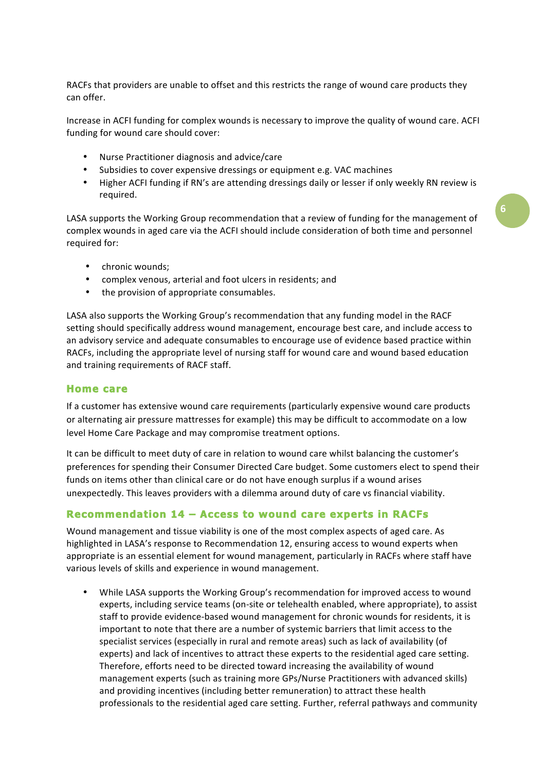RACFs that providers are unable to offset and this restricts the range of wound care products they can offer.

Increase in ACFI funding for complex wounds is necessary to improve the quality of wound care. ACFI funding for wound care should cover:

- Nurse Practitioner diagnosis and advice/care
- Subsidies to cover expensive dressings or equipment e.g. VAC machines
- Higher ACFI funding if RN's are attending dressings daily or lesser if only weekly RN review is required.

LASA supports the Working Group recommendation that a review of funding for the management of complex wounds in aged care via the ACFI should include consideration of both time and personnel required for:

- chronic wounds:
- complex venous, arterial and foot ulcers in residents; and
- the provision of appropriate consumables.

LASA also supports the Working Group's recommendation that any funding model in the RACF setting should specifically address wound management, encourage best care, and include access to an advisory service and adequate consumables to encourage use of evidence based practice within RACFs, including the appropriate level of nursing staff for wound care and wound based education and training requirements of RACF staff.

#### **Home care**

If a customer has extensive wound care requirements (particularly expensive wound care products or alternating air pressure mattresses for example) this may be difficult to accommodate on a low level Home Care Package and may compromise treatment options.

It can be difficult to meet duty of care in relation to wound care whilst balancing the customer's preferences for spending their Consumer Directed Care budget. Some customers elect to spend their funds on items other than clinical care or do not have enough surplus if a wound arises unexpectedly. This leaves providers with a dilemma around duty of care vs financial viability.

## **Recommendation 14 – Access to wound care experts in RACFs**

Wound management and tissue viability is one of the most complex aspects of aged care. As highlighted in LASA's response to Recommendation 12, ensuring access to wound experts when appropriate is an essential element for wound management, particularly in RACFs where staff have various levels of skills and experience in wound management.

While LASA supports the Working Group's recommendation for improved access to wound experts, including service teams (on-site or telehealth enabled, where appropriate), to assist staff to provide evidence-based wound management for chronic wounds for residents, it is important to note that there are a number of systemic barriers that limit access to the specialist services (especially in rural and remote areas) such as lack of availability (of experts) and lack of incentives to attract these experts to the residential aged care setting. Therefore, efforts need to be directed toward increasing the availability of wound management experts (such as training more GPs/Nurse Practitioners with advanced skills) and providing incentives (including better remuneration) to attract these health professionals to the residential aged care setting. Further, referral pathways and community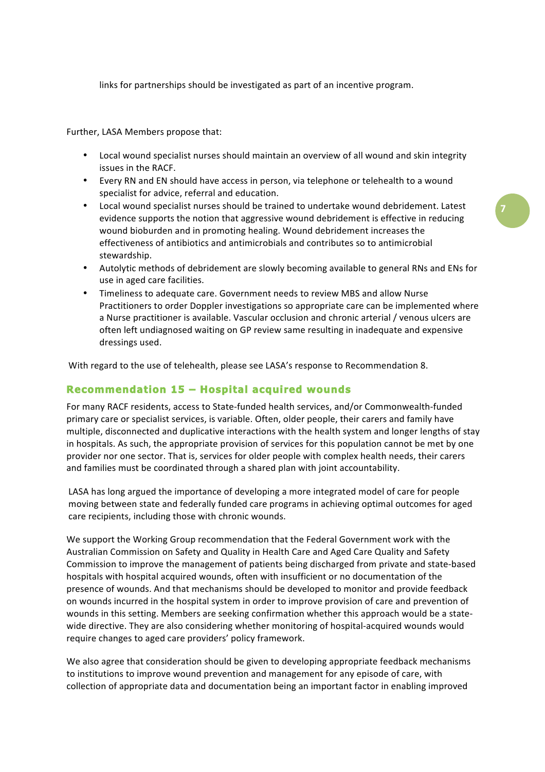links for partnerships should be investigated as part of an incentive program.

Further, LASA Members propose that:

- Local wound specialist nurses should maintain an overview of all wound and skin integrity issues in the RACF.
- Every RN and EN should have access in person, via telephone or telehealth to a wound specialist for advice, referral and education.
- Local wound specialist nurses should be trained to undertake wound debridement. Latest evidence supports the notion that aggressive wound debridement is effective in reducing wound bioburden and in promoting healing. Wound debridement increases the effectiveness of antibiotics and antimicrobials and contributes so to antimicrobial stewardship.
- Autolytic methods of debridement are slowly becoming available to general RNs and ENs for use in aged care facilities.
- Timeliness to adequate care. Government needs to review MBS and allow Nurse Practitioners to order Doppler investigations so appropriate care can be implemented where a Nurse practitioner is available. Vascular occlusion and chronic arterial / venous ulcers are often left undiagnosed waiting on GP review same resulting in inadequate and expensive dressings used.

With regard to the use of telehealth, please see LASA's response to Recommendation 8.

#### **Recommendation 15 – Hospital acquired wounds**

For many RACF residents, access to State-funded health services, and/or Commonwealth-funded primary care or specialist services, is variable. Often, older people, their carers and family have multiple, disconnected and duplicative interactions with the health system and longer lengths of stay in hospitals. As such, the appropriate provision of services for this population cannot be met by one provider nor one sector. That is, services for older people with complex health needs, their carers and families must be coordinated through a shared plan with joint accountability.

LASA has long argued the importance of developing a more integrated model of care for people moving between state and federally funded care programs in achieving optimal outcomes for aged care recipients, including those with chronic wounds.

We support the Working Group recommendation that the Federal Government work with the Australian Commission on Safety and Quality in Health Care and Aged Care Quality and Safety Commission to improve the management of patients being discharged from private and state-based hospitals with hospital acquired wounds, often with insufficient or no documentation of the presence of wounds. And that mechanisms should be developed to monitor and provide feedback on wounds incurred in the hospital system in order to improve provision of care and prevention of wounds in this setting. Members are seeking confirmation whether this approach would be a statewide directive. They are also considering whether monitoring of hospital-acquired wounds would require changes to aged care providers' policy framework.

We also agree that consideration should be given to developing appropriate feedback mechanisms to institutions to improve wound prevention and management for any episode of care, with collection of appropriate data and documentation being an important factor in enabling improved